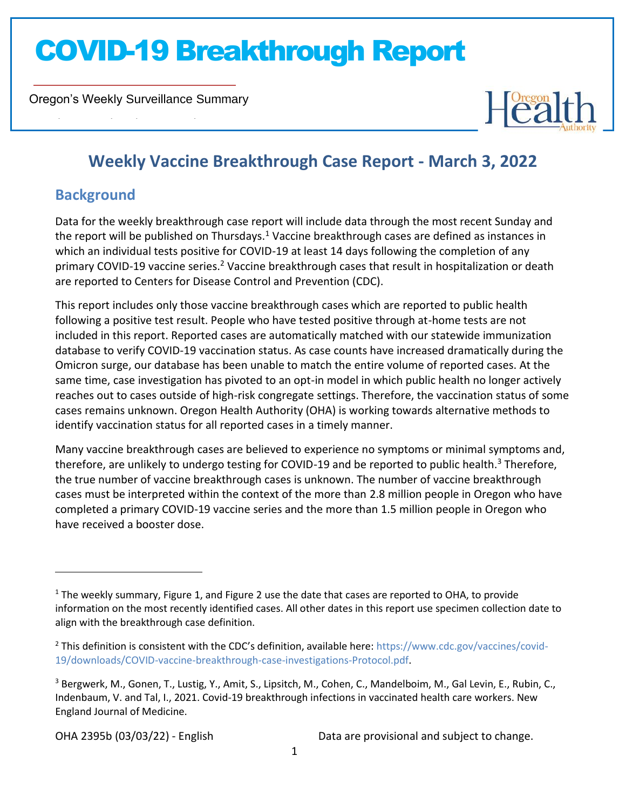Oregon's Weekly Surveillance Summary

Novel Coronavirus (COVID-19)



### **Weekly Vaccine Breakthrough Case Report - March 3, 2022**

### **Background**

Data for the weekly breakthrough case report will include data through the most recent Sunday and the report will be published on Thursdays.<sup>1</sup> Vaccine breakthrough cases are defined as instances in which an individual tests positive for COVID-19 at least 14 days following the completion of any primary COVID-19 vaccine series.<sup>2</sup> Vaccine breakthrough cases that result in hospitalization or death are reported to Centers for Disease Control and Prevention (CDC).

This report includes only those vaccine breakthrough cases which are reported to public health following a positive test result. People who have tested positive through at-home tests are not included in this report. Reported cases are automatically matched with our statewide immunization database to verify COVID-19 vaccination status. As case counts have increased dramatically during the Omicron surge, our database has been unable to match the entire volume of reported cases. At the same time, case investigation has pivoted to an opt-in model in which public health no longer actively reaches out to cases outside of high-risk congregate settings. Therefore, the vaccination status of some cases remains unknown. Oregon Health Authority (OHA) is working towards alternative methods to identify vaccination status for all reported cases in a timely manner.

Many vaccine breakthrough cases are believed to experience no symptoms or minimal symptoms and, therefore, are unlikely to undergo testing for COVID-19 and be reported to public health.<sup>3</sup> Therefore, the true number of vaccine breakthrough cases is unknown. The number of vaccine breakthrough cases must be interpreted within the context of the more than 2.8 million people in Oregon who have completed a primary COVID-19 vaccine series and the more than 1.5 million people in Oregon who have received a booster dose.

 $1$  The weekly summary, Figure 1, and Figure 2 use the date that cases are reported to OHA, to provide information on the most recently identified cases. All other dates in this report use specimen collection date to align with the breakthrough case definition.

<sup>2</sup> This definition is consistent with the CDC's definition, available here: [https://www.cdc.gov/vaccines/covid-](https://www.cdc.gov/vaccines/covid-19/downloads/COVID-vaccine-breakthrough-case-investigations-Protocol.pdf)[19/downloads/COVID-vaccine-breakthrough-case-investigations-Protocol.pdf.](https://www.cdc.gov/vaccines/covid-19/downloads/COVID-vaccine-breakthrough-case-investigations-Protocol.pdf)

<sup>&</sup>lt;sup>3</sup> Bergwerk, M., Gonen, T., Lustig, Y., Amit, S., Lipsitch, M., Cohen, C., Mandelboim, M., Gal Levin, E., Rubin, C., Indenbaum, V. and Tal, I., 2021. Covid-19 breakthrough infections in vaccinated health care workers. New England Journal of Medicine.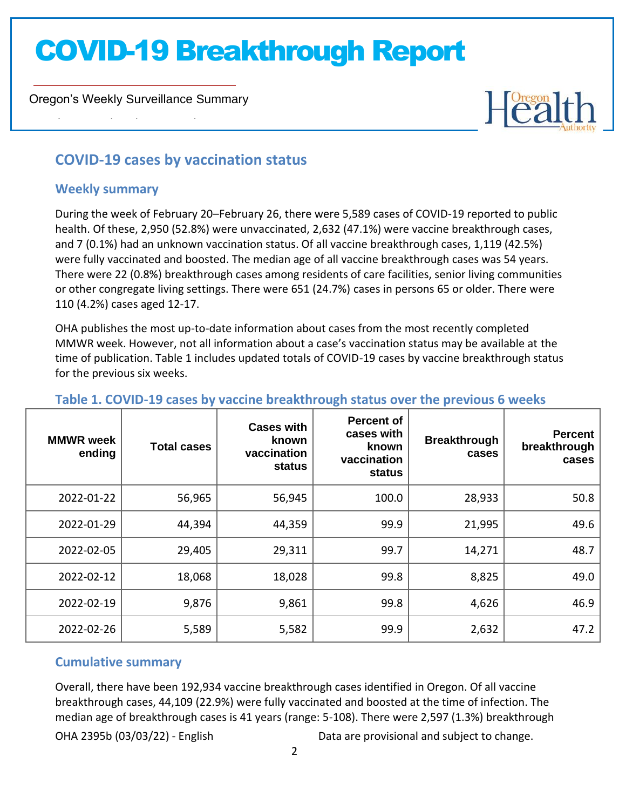Oregon's Weekly Surveillance Summary

# Heal

### **COVID-19 cases by vaccination status**

#### **Weekly summary**

Novel Coronavirus (COVID-19)

During the week of February 20–February 26, there were 5,589 cases of COVID-19 reported to public health. Of these, 2,950 (52.8%) were unvaccinated, 2,632 (47.1%) were vaccine breakthrough cases, and 7 (0.1%) had an unknown vaccination status. Of all vaccine breakthrough cases, 1,119 (42.5%) were fully vaccinated and boosted. The median age of all vaccine breakthrough cases was 54 years. There were 22 (0.8%) breakthrough cases among residents of care facilities, senior living communities or other congregate living settings. There were 651 (24.7%) cases in persons 65 or older. There were 110 (4.2%) cases aged 12-17.

OHA publishes the most up-to-date information about cases from the most recently completed MMWR week. However, not all information about a case's vaccination status may be available at the time of publication. Table 1 includes updated totals of COVID-19 cases by vaccine breakthrough status for the previous six weeks.

| <b>MMWR</b> week<br>ending | <b>Total cases</b> | <b>Cases with</b><br>known<br>vaccination<br>status | <b>Percent of</b><br>cases with<br>known<br>vaccination<br>status | <b>Breakthrough</b><br>cases | <b>Percent</b><br>breakthrough<br>cases |
|----------------------------|--------------------|-----------------------------------------------------|-------------------------------------------------------------------|------------------------------|-----------------------------------------|
| 2022-01-22                 | 56,965             | 56,945                                              | 100.0                                                             | 28,933                       | 50.8                                    |
| 2022-01-29                 | 44,394             | 44,359                                              | 99.9                                                              | 21,995                       | 49.6                                    |
| 2022-02-05                 | 29,405             | 29,311                                              | 99.7                                                              | 14,271                       | 48.7                                    |
| 2022-02-12                 | 18,068             | 18,028                                              | 99.8                                                              | 8,825                        | 49.0                                    |
| 2022-02-19                 | 9,876              | 9,861                                               | 99.8                                                              | 4,626                        | 46.9                                    |
| 2022-02-26                 | 5,589              | 5,582                                               | 99.9                                                              | 2,632                        | 47.2                                    |

#### **Table 1. COVID-19 cases by vaccine breakthrough status over the previous 6 weeks**

#### **Cumulative summary**

Overall, there have been 192,934 vaccine breakthrough cases identified in Oregon. Of all vaccine breakthrough cases, 44,109 (22.9%) were fully vaccinated and boosted at the time of infection. The median age of breakthrough cases is 41 years (range: 5-108). There were 2,597 (1.3%) breakthrough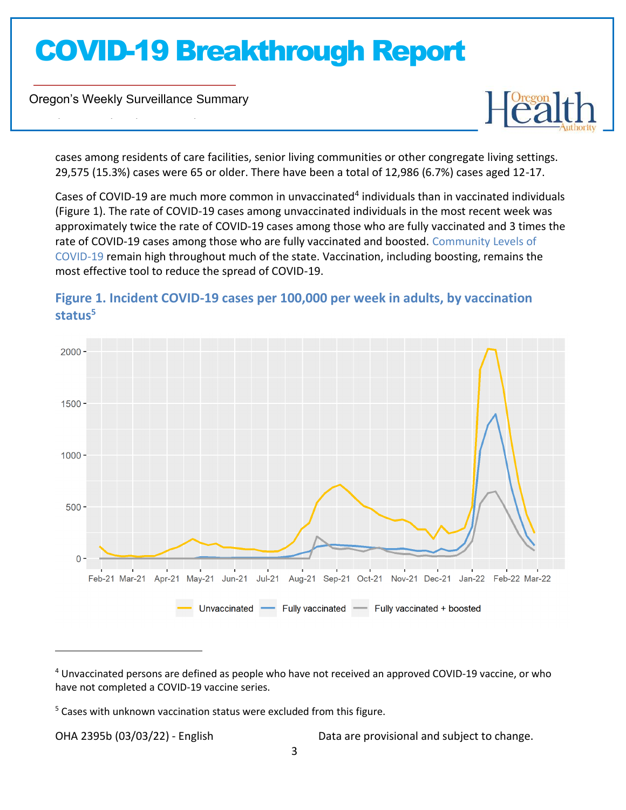Oregon's Weekly Surveillance Summary

Novel Coronavirus (COVID-19)



cases among residents of care facilities, senior living communities or other congregate living settings. 29,575 (15.3%) cases were 65 or older. There have been a total of 12,986 (6.7%) cases aged 12-17.

Cases of COVID-19 are much more common in unvaccinated<sup>4</sup> individuals than in vaccinated individuals (Figure 1). The rate of COVID-19 cases among unvaccinated individuals in the most recent week was approximately twice the rate of COVID-19 cases among those who are fully vaccinated and 3 times the rate of COVID-19 cases among those who are fully vaccinated and boosted. [Community Levels](https://www.cdc.gov/coronavirus/2019-ncov/science/community-levels.html) of [COVID-19](https://www.cdc.gov/coronavirus/2019-ncov/science/community-levels.html) remain high throughout much of the state. Vaccination, including boosting, remains the most effective tool to reduce the spread of COVID-19.

### $2000 1500 1000 500 0 -$ Feb-21 Mar-21 Apr-21 May-21 Jun-21 Jul-21 Aug-21 Sep-21 Oct-21 Nov-21 Dec-21 Jan-22 Feb-22 Mar-22 Fully vaccinated Fully vaccinated + boosted Unvaccinated

### **Figure 1. Incident COVID-19 cases per 100,000 per week in adults, by vaccination status<sup>5</sup>**

<sup>4</sup> Unvaccinated persons are defined as people who have not received an approved COVID-19 vaccine, or who have not completed a COVID-19 vaccine series.

<sup>&</sup>lt;sup>5</sup> Cases with unknown vaccination status were excluded from this figure.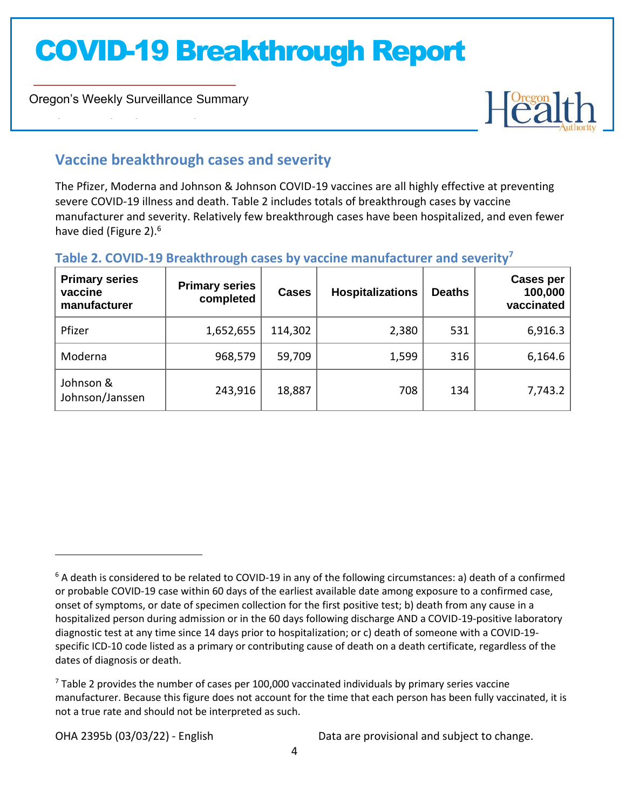Oregon's Weekly Surveillance Summary

Novel Coronavirus (COVID-19)



### **Vaccine breakthrough cases and severity**

The Pfizer, Moderna and Johnson & Johnson COVID-19 vaccines are all highly effective at preventing severe COVID-19 illness and death. Table 2 includes totals of breakthrough cases by vaccine manufacturer and severity. Relatively few breakthrough cases have been hospitalized, and even fewer have died (Figure 2).<sup>6</sup>

#### **Table 2. COVID-19 Breakthrough cases by vaccine manufacturer and severity<sup>7</sup>**

| <b>Primary series</b><br>vaccine<br>manufacturer | <b>Primary series</b><br>completed | <b>Cases</b> | <b>Hospitalizations</b> | <b>Deaths</b> | <b>Cases per</b><br>100,000<br>vaccinated |
|--------------------------------------------------|------------------------------------|--------------|-------------------------|---------------|-------------------------------------------|
| Pfizer                                           | 1,652,655                          | 114,302      | 2,380                   | 531           | 6,916.3                                   |
| Moderna                                          | 968,579                            | 59,709       | 1,599                   | 316           | 6,164.6                                   |
| Johnson &<br>Johnson/Janssen                     | 243,916                            | 18,887       | 708                     | 134           | 7,743.2                                   |

<sup>&</sup>lt;sup>6</sup> A death is considered to be related to COVID-19 in any of the following circumstances: a) death of a confirmed or probable COVID-19 case within 60 days of the earliest available date among exposure to a confirmed case, onset of symptoms, or date of specimen collection for the first positive test; b) death from any cause in a hospitalized person during admission or in the 60 days following discharge AND a COVID-19-positive laboratory diagnostic test at any time since 14 days prior to hospitalization; or c) death of someone with a COVID-19 specific ICD-10 code listed as a primary or contributing cause of death on a death certificate, regardless of the dates of diagnosis or death.

 $7$  Table 2 provides the number of cases per 100,000 vaccinated individuals by primary series vaccine manufacturer. Because this figure does not account for the time that each person has been fully vaccinated, it is not a true rate and should not be interpreted as such.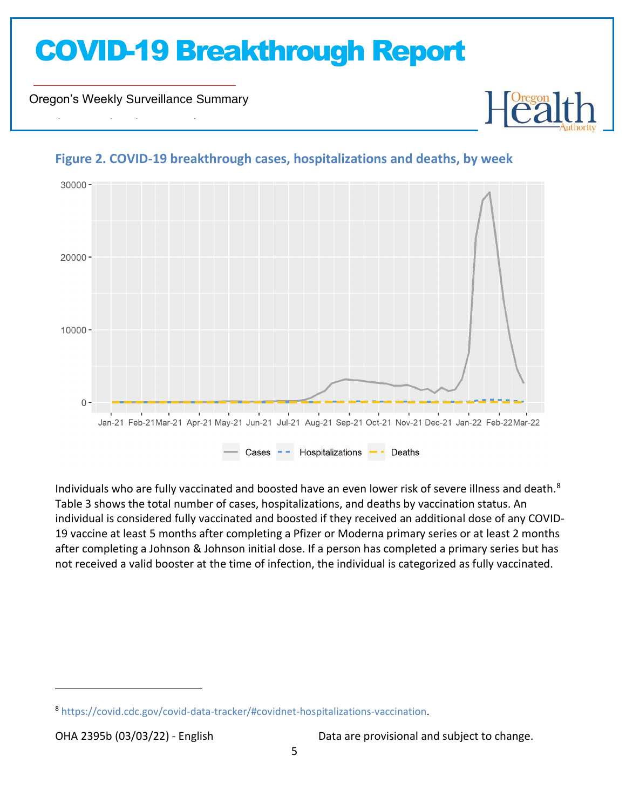Oregon's Weekly Surveillance Summary

Novel Coronavirus (COVID-19)



#### **Figure 2. COVID-19 breakthrough cases, hospitalizations and deaths, by week**

Individuals who are fully vaccinated and boosted have an even lower risk of severe illness and death.<sup>8</sup> Table 3 shows the total number of cases, hospitalizations, and deaths by vaccination status. An individual is considered fully vaccinated and boosted if they received an additional dose of any COVID-19 vaccine at least 5 months after completing a Pfizer or Moderna primary series or at least 2 months after completing a Johnson & Johnson initial dose. If a person has completed a primary series but has not received a valid booster at the time of infection, the individual is categorized as fully vaccinated.

<sup>8</sup> [https://covid.cdc.gov/covid-data-tracker/#covidnet-hospitalizations-vaccination.](https://covid.cdc.gov/covid-data-tracker/#covidnet-hospitalizations-vaccination)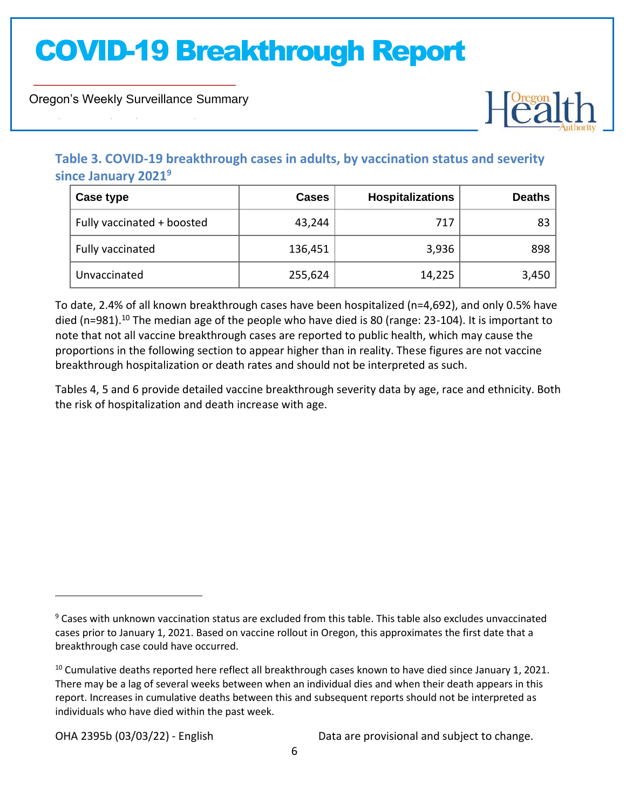Oregon's Weekly Surveillance Summary

Novel Coronavirus (COVID-19)



### **Table 3. COVID-19 breakthrough cases in adults, by vaccination status and severity since January 2021<sup>9</sup>**

| Case type                  | <b>Cases</b> | <b>Hospitalizations</b> | <b>Deaths</b> |
|----------------------------|--------------|-------------------------|---------------|
| Fully vaccinated + boosted | 43,244       | 717                     | 83            |
| Fully vaccinated           | 136,451      | 3,936                   | 898           |
| Unvaccinated               | 255,624      | 14,225                  | 3,450         |

To date, 2.4% of all known breakthrough cases have been hospitalized (n=4,692), and only 0.5% have died (n=981).<sup>10</sup> The median age of the people who have died is 80 (range: 23-104). It is important to note that not all vaccine breakthrough cases are reported to public health, which may cause the proportions in the following section to appear higher than in reality. These figures are not vaccine breakthrough hospitalization or death rates and should not be interpreted as such.

Tables 4, 5 and 6 provide detailed vaccine breakthrough severity data by age, race and ethnicity. Both the risk of hospitalization and death increase with age.

<sup>&</sup>lt;sup>9</sup> Cases with unknown vaccination status are excluded from this table. This table also excludes unvaccinated cases prior to January 1, 2021. Based on vaccine rollout in Oregon, this approximates the first date that a breakthrough case could have occurred.

<sup>&</sup>lt;sup>10</sup> Cumulative deaths reported here reflect all breakthrough cases known to have died since January 1, 2021. There may be a lag of several weeks between when an individual dies and when their death appears in this report. Increases in cumulative deaths between this and subsequent reports should not be interpreted as individuals who have died within the past week.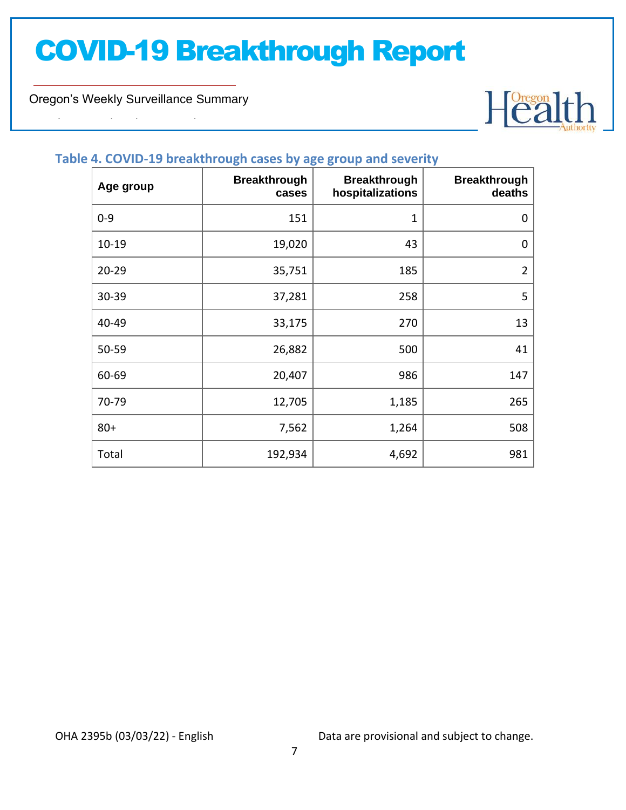Oregon's Weekly Surveillance Summary

Novel Coronavirus (COVID-19)



#### **Table 4. COVID-19 breakthrough cases by age group and severity**

| Age group | <b>Breakthrough</b><br>cases | <b>Breakthrough</b><br>hospitalizations | <b>Breakthrough</b><br>deaths |
|-----------|------------------------------|-----------------------------------------|-------------------------------|
| $0 - 9$   | 151                          | 1                                       | 0                             |
| $10 - 19$ | 19,020                       | 43                                      | $\pmb{0}$                     |
| $20 - 29$ | 35,751                       | 185                                     | $\overline{2}$                |
| 30-39     | 37,281                       | 258                                     | 5                             |
| 40-49     | 33,175                       | 270                                     | 13                            |
| 50-59     | 26,882                       | 500                                     | 41                            |
| 60-69     | 20,407                       | 986                                     | 147                           |
| 70-79     | 12,705                       | 1,185                                   | 265                           |
| $80+$     | 7,562                        | 1,264                                   | 508                           |
| Total     | 192,934                      | 4,692                                   | 981                           |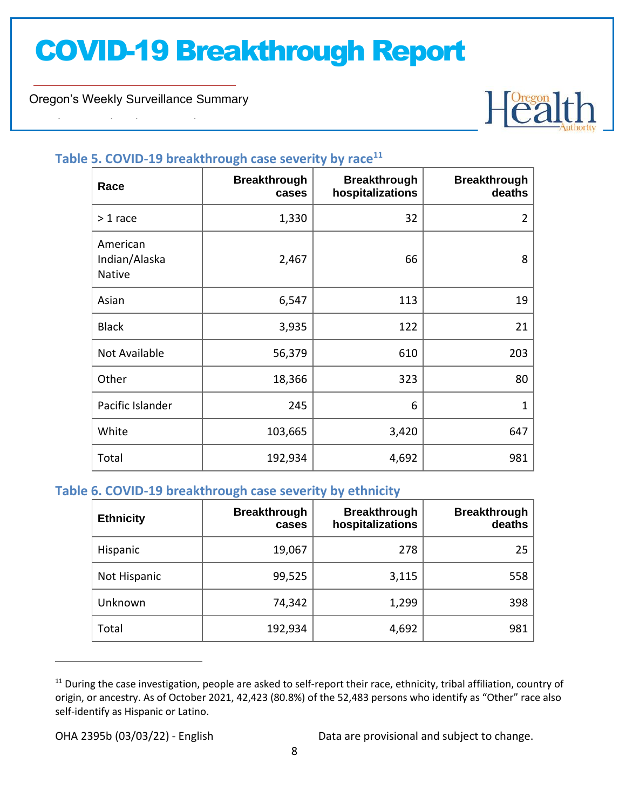Oregon's Weekly Surveillance Summary

Novel Coronavirus (COVID-19)



### **Table 5. COVID-19 breakthrough case severity by race<sup>11</sup>**

| Race                                       | <b>Breakthrough</b><br>cases | <b>Breakthrough</b><br>hospitalizations | <b>Breakthrough</b><br>deaths |
|--------------------------------------------|------------------------------|-----------------------------------------|-------------------------------|
| $> 1$ race                                 | 1,330                        | 32                                      | $\overline{2}$                |
| American<br>Indian/Alaska<br><b>Native</b> | 2,467                        | 66                                      | 8                             |
| Asian                                      | 6,547                        | 113                                     | 19                            |
| <b>Black</b>                               | 3,935                        | 122                                     | 21                            |
| Not Available                              | 56,379                       | 610                                     | 203                           |
| Other                                      | 18,366                       | 323                                     | 80                            |
| Pacific Islander                           | 245                          | 6                                       | $\mathbf{1}$                  |
| White                                      | 103,665                      | 3,420                                   | 647                           |
| Total                                      | 192,934                      | 4,692                                   | 981                           |

#### **Table 6. COVID-19 breakthrough case severity by ethnicity**

| <b>Ethnicity</b> | <b>Breakthrough</b><br>cases | <b>Breakthrough</b><br>hospitalizations | <b>Breakthrough</b><br>deaths |
|------------------|------------------------------|-----------------------------------------|-------------------------------|
| Hispanic         | 19,067                       | 278                                     | 25                            |
| Not Hispanic     | 99,525                       | 3,115                                   | 558                           |
| Unknown          | 74,342                       | 1,299                                   | 398                           |
| Total            | 192,934                      | 4,692                                   | 981                           |

 $11$  During the case investigation, people are asked to self-report their race, ethnicity, tribal affiliation, country of origin, or ancestry. As of October 2021, 42,423 (80.8%) of the 52,483 persons who identify as "Other" race also self-identify as Hispanic or Latino.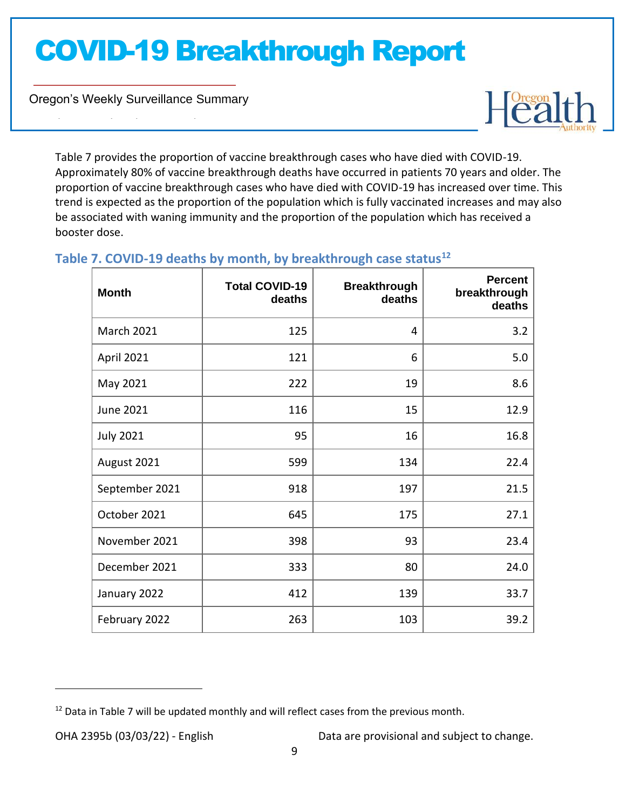Oregon's Weekly Surveillance Summary

Novel Coronavirus (COVID-19)



Table 7 provides the proportion of vaccine breakthrough cases who have died with COVID-19. Approximately 80% of vaccine breakthrough deaths have occurred in patients 70 years and older. The proportion of vaccine breakthrough cases who have died with COVID-19 has increased over time. This trend is expected as the proportion of the population which is fully vaccinated increases and may also be associated with waning immunity and the proportion of the population which has received a booster dose.

| <b>Month</b>      | <b>Total COVID-19</b><br>deaths | <b>Breakthrough</b><br>deaths | <b>Percent</b><br>breakthrough<br>deaths |
|-------------------|---------------------------------|-------------------------------|------------------------------------------|
| <b>March 2021</b> | 125                             | 4                             | 3.2                                      |
| April 2021        | 121                             | 6                             | 5.0                                      |
| May 2021          | 222                             | 19                            | 8.6                                      |
| <b>June 2021</b>  | 116                             | 15                            | 12.9                                     |
| <b>July 2021</b>  | 95                              | 16                            | 16.8                                     |
| August 2021       | 599                             | 134                           | 22.4                                     |
| September 2021    | 918                             | 197                           | 21.5                                     |
| October 2021      | 645                             | 175                           | 27.1                                     |
| November 2021     | 398                             | 93                            | 23.4                                     |
| December 2021     | 333                             | 80                            | 24.0                                     |
| January 2022      | 412                             | 139                           | 33.7                                     |
| February 2022     | 263                             | 103                           | 39.2                                     |

#### **Table 7. COVID-19 deaths by month, by breakthrough case status<sup>12</sup>**

 $12$  Data in Table 7 will be updated monthly and will reflect cases from the previous month.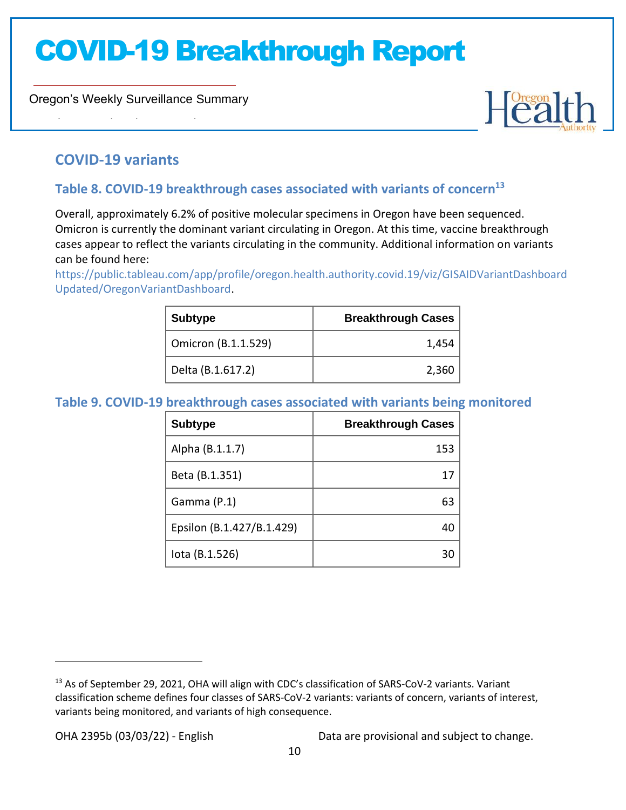Oregon's Weekly Surveillance Summary



### **COVID-19 variants**

Novel Coronavirus (COVID-19)

### **Table 8. COVID-19 breakthrough cases associated with variants of concern<sup>13</sup>**

Overall, approximately 6.2% of positive molecular specimens in Oregon have been sequenced. Omicron is currently the dominant variant circulating in Oregon. At this time, vaccine breakthrough cases appear to reflect the variants circulating in the community. Additional information on variants can be found here:

[https://public.tableau.com/app/profile/oregon.health.authority.covid.19/viz/GISAIDVariantDashboard](https://public.tableau.com/app/profile/oregon.health.authority.covid.19/viz/GISAIDVariantDashboardUpdated/OregonVariantDashboard) [Updated/OregonVariantDashboard.](https://public.tableau.com/app/profile/oregon.health.authority.covid.19/viz/GISAIDVariantDashboardUpdated/OregonVariantDashboard)

| <b>Subtype</b>      | <b>Breakthrough Cases</b> |
|---------------------|---------------------------|
| Omicron (B.1.1.529) | 1,454                     |
| Delta (B.1.617.2)   | 2,360                     |

#### **Table 9. COVID-19 breakthrough cases associated with variants being monitored**

| <b>Subtype</b>            | <b>Breakthrough Cases</b> |
|---------------------------|---------------------------|
| Alpha (B.1.1.7)           | 153                       |
| Beta (B.1.351)            |                           |
| Gamma (P.1)               | 63                        |
| Epsilon (B.1.427/B.1.429) |                           |
| lota (B.1.526)            |                           |

<sup>&</sup>lt;sup>13</sup> As of September 29, 2021, OHA will align with CDC's classification of SARS-CoV-2 variants. Variant classification scheme defines four classes of SARS-CoV-2 variants: variants of concern, variants of interest, variants being monitored, and variants of high consequence.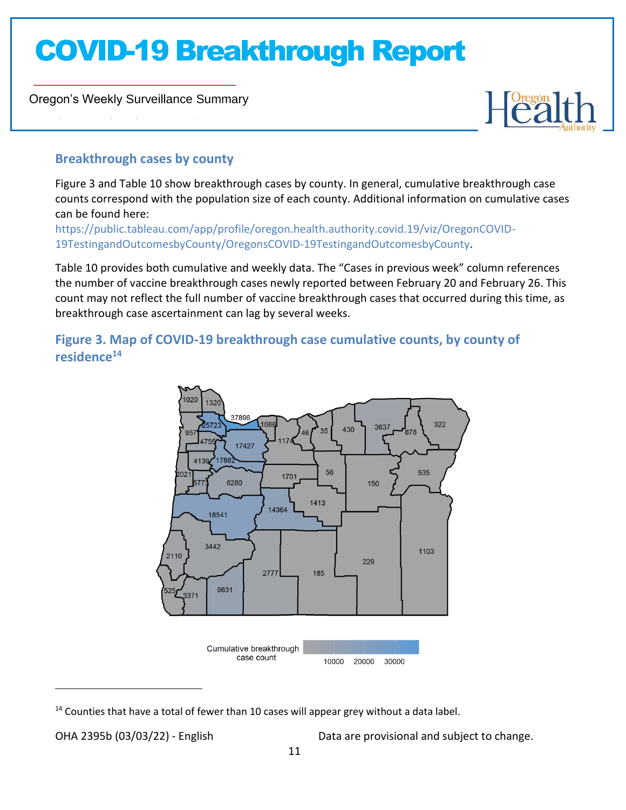Oregon's Weekly Surveillance Summary

Novel Coronavirus (COVID-19)



### **Breakthrough cases by county**

Figure 3 and Table 10 show breakthrough cases by county. In general, cumulative breakthrough case counts correspond with the population size of each county. Additional information on cumulative cases can be found here:

[https://public.tableau.com/app/profile/oregon.health.authority.covid.19/viz/OregonCOVID-](https://public.tableau.com/app/profile/oregon.health.authority.covid.19/viz/OregonCOVID-19TestingandOutcomesbyCounty/OregonsCOVID-19TestingandOutcomesbyCounty)[19TestingandOutcomesbyCounty/OregonsCOVID-19TestingandOutcomesbyCounty.](https://public.tableau.com/app/profile/oregon.health.authority.covid.19/viz/OregonCOVID-19TestingandOutcomesbyCounty/OregonsCOVID-19TestingandOutcomesbyCounty)

Table 10 provides both cumulative and weekly data. The "Cases in previous week" column references the number of vaccine breakthrough cases newly reported between February 20 and February 26. This count may not reflect the full number of vaccine breakthrough cases that occurred during this time, as breakthrough case ascertainment can lag by several weeks.

**Figure 3. Map of COVID-19 breakthrough case cumulative counts, by county of residence<sup>14</sup>**



<sup>&</sup>lt;sup>14</sup> Counties that have a total of fewer than 10 cases will appear grey without a data label.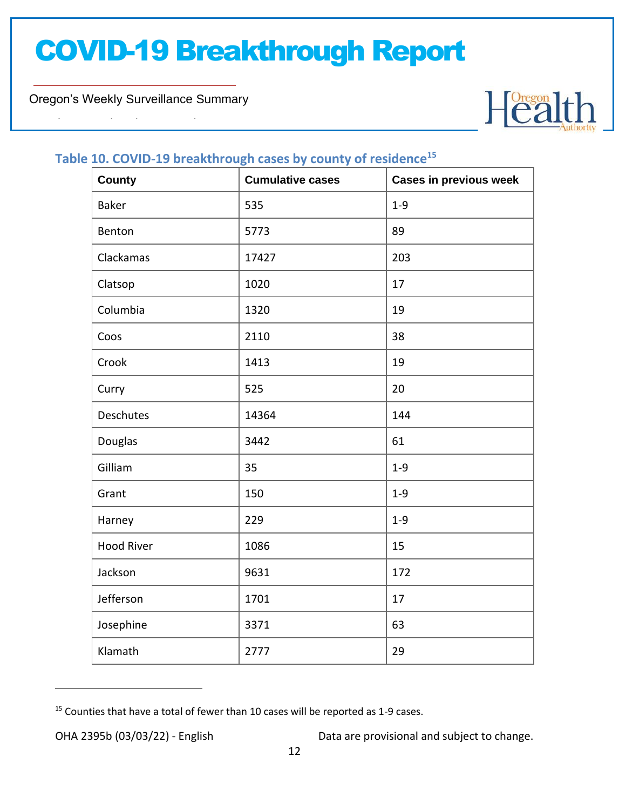Oregon's Weekly Surveillance Summary

Novel Coronavirus (COVID-19)



#### **Table 10. COVID-19 breakthrough cases by county of residence<sup>15</sup>**

| <b>County</b>     | <b>Cumulative cases</b> | <b>Cases in previous week</b> |
|-------------------|-------------------------|-------------------------------|
| <b>Baker</b>      | 535                     | $1 - 9$                       |
| Benton            | 5773                    | 89                            |
| Clackamas         | 17427                   | 203                           |
| Clatsop           | 1020                    | 17                            |
| Columbia          | 1320                    | 19                            |
| Coos              | 2110                    | 38                            |
| Crook             | 1413                    | 19                            |
| Curry             | 525                     | 20                            |
| Deschutes         | 14364                   | 144                           |
| Douglas           | 3442                    | 61                            |
| Gilliam           | 35                      | $1 - 9$                       |
| Grant             | 150                     | $1 - 9$                       |
| Harney            | 229                     | $1 - 9$                       |
| <b>Hood River</b> | 1086                    | 15                            |
| Jackson           | 9631                    | 172                           |
| Jefferson         | 1701                    | 17                            |
| Josephine         | 3371                    | 63                            |
| Klamath           | 2777                    | 29                            |

<sup>&</sup>lt;sup>15</sup> Counties that have a total of fewer than 10 cases will be reported as 1-9 cases.